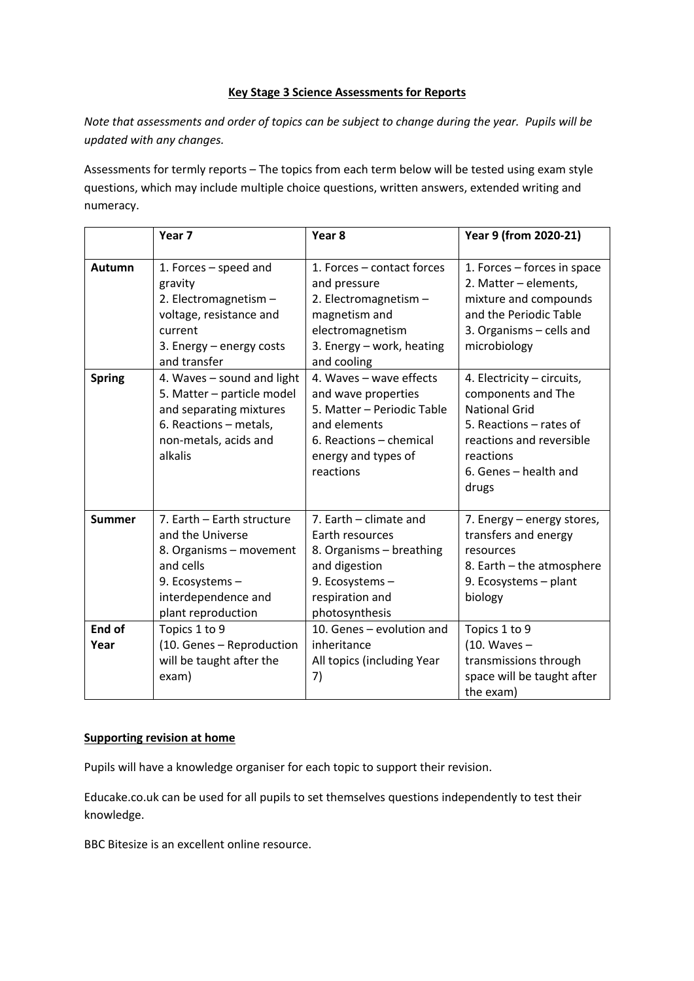## **Key Stage 3 Science Assessments for Reports**

*Note that assessments and order of topics can be subject to change during the year. Pupils will be updated with any changes.*

Assessments for termly reports – The topics from each term below will be tested using exam style questions, which may include multiple choice questions, written answers, extended writing and numeracy.

|                | Year <sub>7</sub>                                                                                                                                     | Year <sub>8</sub>                                                                                                                                           | Year 9 (from 2020-21)                                                                                                                                                          |
|----------------|-------------------------------------------------------------------------------------------------------------------------------------------------------|-------------------------------------------------------------------------------------------------------------------------------------------------------------|--------------------------------------------------------------------------------------------------------------------------------------------------------------------------------|
|                |                                                                                                                                                       |                                                                                                                                                             |                                                                                                                                                                                |
| Autumn         | 1. Forces – speed and<br>gravity<br>2. Electromagnetism -<br>voltage, resistance and<br>current<br>3. Energy - energy costs<br>and transfer           | 1. Forces - contact forces<br>and pressure<br>2. Electromagnetism -<br>magnetism and<br>electromagnetism<br>3. Energy - work, heating<br>and cooling        | 1. Forces – forces in space<br>2. Matter - elements,<br>mixture and compounds<br>and the Periodic Table<br>3. Organisms - cells and<br>microbiology                            |
| <b>Spring</b>  | 4. Waves - sound and light<br>5. Matter - particle model<br>and separating mixtures<br>6. Reactions - metals,<br>non-metals, acids and<br>alkalis     | 4. Waves - wave effects<br>and wave properties<br>5. Matter - Periodic Table<br>and elements<br>6. Reactions - chemical<br>energy and types of<br>reactions | 4. Electricity - circuits,<br>components and The<br><b>National Grid</b><br>5. Reactions – rates of<br>reactions and reversible<br>reactions<br>6. Genes - health and<br>drugs |
| <b>Summer</b>  | 7. Earth - Earth structure<br>and the Universe<br>8. Organisms - movement<br>and cells<br>9. Ecosystems-<br>interdependence and<br>plant reproduction | 7. Earth - climate and<br>Earth resources<br>8. Organisms - breathing<br>and digestion<br>9. Ecosystems-<br>respiration and<br>photosynthesis               | 7. Energy – energy stores,<br>transfers and energy<br>resources<br>8. Earth – the atmosphere<br>9. Ecosystems - plant<br>biology                                               |
| End of<br>Year | Topics 1 to 9<br>(10. Genes - Reproduction<br>will be taught after the<br>exam)                                                                       | 10. Genes - evolution and<br>inheritance<br>All topics (including Year<br>7)                                                                                | Topics 1 to 9<br>$(10.$ Waves $-$<br>transmissions through<br>space will be taught after<br>the exam)                                                                          |

## **Supporting revision at home**

Pupils will have a knowledge organiser for each topic to support their revision.

Educake.co.uk can be used for all pupils to set themselves questions independently to test their knowledge.

BBC Bitesize is an excellent online resource.